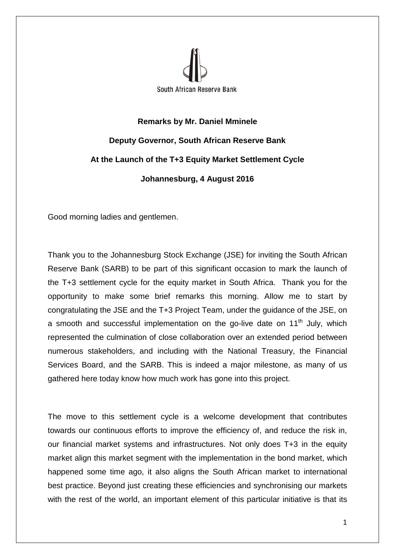

## **Remarks by Mr. Daniel Mminele Deputy Governor, South African Reserve Bank At the Launch of the T+3 Equity Market Settlement Cycle Johannesburg, 4 August 2016**

Good morning ladies and gentlemen.

Thank you to the Johannesburg Stock Exchange (JSE) for inviting the South African Reserve Bank (SARB) to be part of this significant occasion to mark the launch of the T+3 settlement cycle for the equity market in South Africa. Thank you for the opportunity to make some brief remarks this morning. Allow me to start by congratulating the JSE and the T+3 Project Team, under the guidance of the JSE, on a smooth and successful implementation on the go-live date on  $11<sup>th</sup>$  July, which represented the culmination of close collaboration over an extended period between numerous stakeholders, and including with the National Treasury, the Financial Services Board, and the SARB. This is indeed a major milestone, as many of us gathered here today know how much work has gone into this project.

The move to this settlement cycle is a welcome development that contributes towards our continuous efforts to improve the efficiency of, and reduce the risk in, our financial market systems and infrastructures. Not only does T+3 in the equity market align this market segment with the implementation in the bond market, which happened some time ago, it also aligns the South African market to international best practice. Beyond just creating these efficiencies and synchronising our markets with the rest of the world, an important element of this particular initiative is that its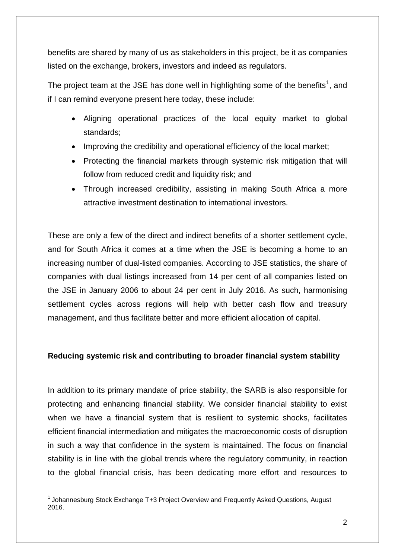benefits are shared by many of us as stakeholders in this project, be it as companies listed on the exchange, brokers, investors and indeed as regulators.

The project team at the JSE has done well in highlighting some of the benefits<sup>[1](#page-1-0)</sup>, and if I can remind everyone present here today, these include:

- Aligning operational practices of the local equity market to global standards;
- Improving the credibility and operational efficiency of the local market;
- Protecting the financial markets through systemic risk mitigation that will follow from reduced credit and liquidity risk; and
- Through increased credibility, assisting in making South Africa a more attractive investment destination to international investors.

These are only a few of the direct and indirect benefits of a shorter settlement cycle, and for South Africa it comes at a time when the JSE is becoming a home to an increasing number of dual-listed companies. According to JSE statistics, the share of companies with dual listings increased from 14 per cent of all companies listed on the JSE in January 2006 to about 24 per cent in July 2016. As such, harmonising settlement cycles across regions will help with better cash flow and treasury management, and thus facilitate better and more efficient allocation of capital.

## **Reducing systemic risk and contributing to broader financial system stability**

In addition to its primary mandate of price stability, the SARB is also responsible for protecting and enhancing financial stability. We consider financial stability to exist when we have a financial system that is resilient to systemic shocks, facilitates efficient financial intermediation and mitigates the macroeconomic costs of disruption in such a way that confidence in the system is maintained. The focus on financial stability is in line with the global trends where the regulatory community, in reaction to the global financial crisis, has been dedicating more effort and resources to

<span id="page-1-0"></span><sup>1</sup> Johannesburg Stock Exchange T+3 Project Overview and Frequently Asked Questions, August 2016.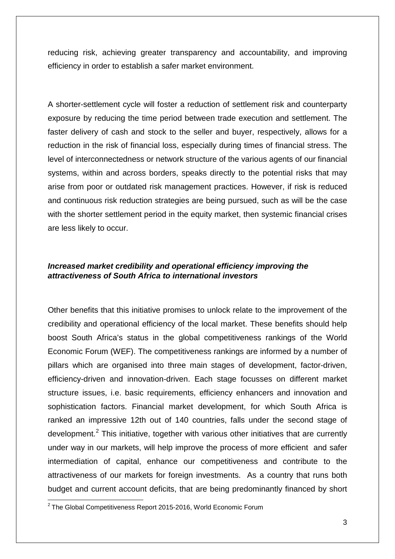reducing risk, achieving greater transparency and accountability, and improving efficiency in order to establish a safer market environment.

A shorter-settlement cycle will foster a reduction of settlement risk and counterparty exposure by reducing the time period between trade execution and settlement. The faster delivery of cash and stock to the seller and buyer, respectively, allows for a reduction in the risk of financial loss, especially during times of financial stress. The level of interconnectedness or network structure of the various agents of our financial systems, within and across borders, speaks directly to the potential risks that may arise from poor or outdated risk management practices. However, if risk is reduced and continuous risk reduction strategies are being pursued, such as will be the case with the shorter settlement period in the equity market, then systemic financial crises are less likely to occur.

## *Increased market credibility and operational efficiency improving the attractiveness of South Africa to international investors*

Other benefits that this initiative promises to unlock relate to the improvement of the credibility and operational efficiency of the local market. These benefits should help boost South Africa's status in the global competitiveness rankings of the World Economic Forum (WEF). The competitiveness rankings are informed by a number of pillars which are organised into three main stages of development, factor-driven, efficiency-driven and innovation-driven. Each stage focusses on different market structure issues, i.e. basic requirements, efficiency enhancers and innovation and sophistication factors. Financial market development, for which South Africa is ranked an impressive 12th out of 140 countries, falls under the second stage of development.<sup>[2](#page-2-0)</sup> This initiative, together with various other initiatives that are currently under way in our markets, will help improve the process of more efficient and safer intermediation of capital, enhance our competitiveness and contribute to the attractiveness of our markets for foreign investments. As a country that runs both budget and current account deficits, that are being predominantly financed by short

<span id="page-2-0"></span> $2$  The Global Competitiveness Report 2015-2016, World Economic Forum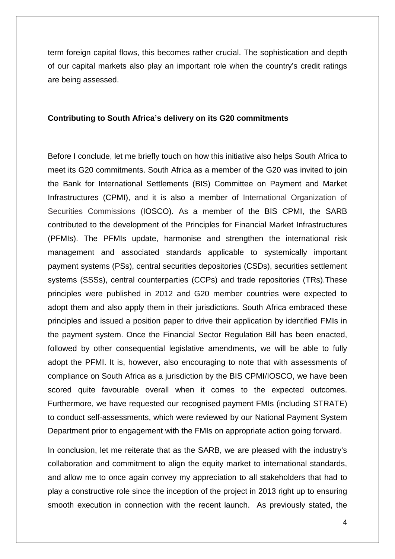term foreign capital flows, this becomes rather crucial. The sophistication and depth of our capital markets also play an important role when the country's credit ratings are being assessed.

## **Contributing to South Africa's delivery on its G20 commitments**

Before I conclude, let me briefly touch on how this initiative also helps South Africa to meet its G20 commitments. South Africa as a member of the G20 was invited to join the Bank for International Settlements (BIS) Committee on Payment and Market Infrastructures (CPMI), and it is also a member of International Organization of Securities Commissions (IOSCO). As a member of the BIS CPMI, the SARB contributed to the development of the Principles for Financial Market Infrastructures (PFMIs). The PFMIs update, harmonise and strengthen the international risk management and associated standards applicable to systemically important payment systems (PSs), central securities depositories (CSDs), securities settlement systems (SSSs), central counterparties (CCPs) and trade repositories (TRs).These principles were published in 2012 and G20 member countries were expected to adopt them and also apply them in their jurisdictions. South Africa embraced these principles and issued a position paper to drive their application by identified FMIs in the payment system. Once the Financial Sector Regulation Bill has been enacted, followed by other consequential legislative amendments, we will be able to fully adopt the PFMI. It is, however, also encouraging to note that with assessments of compliance on South Africa as a jurisdiction by the BIS CPMI/IOSCO, we have been scored quite favourable overall when it comes to the expected outcomes. Furthermore, we have requested our recognised payment FMIs (including STRATE) to conduct self-assessments, which were reviewed by our National Payment System Department prior to engagement with the FMIs on appropriate action going forward.

In conclusion, let me reiterate that as the SARB, we are pleased with the industry's collaboration and commitment to align the equity market to international standards, and allow me to once again convey my appreciation to all stakeholders that had to play a constructive role since the inception of the project in 2013 right up to ensuring smooth execution in connection with the recent launch. As previously stated, the